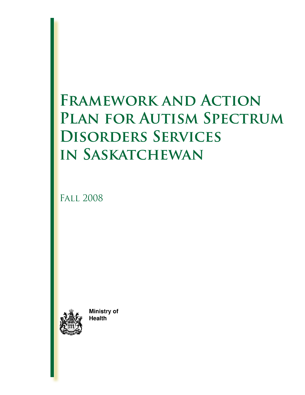# **Framework and Action**  PLAN FOR AUTISM SPECTRUM **Disorders Services in Saskatchewan**

Fall 2008



Ministry of **Health**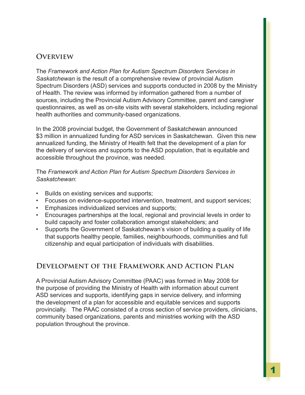#### **Overview**

The *Framework and Action Plan for Autism Spectrum Disorders Services in Saskatchewan* is the result of a comprehensive review of provincial Autism Spectrum Disorders (ASD) services and supports conducted in 2008 by the Ministry of Health. The review was informed by information gathered from a number of sources, including the Provincial Autism Advisory Committee, parent and caregiver questionnaires, as well as on-site visits with several stakeholders, including regional health authorities and community-based organizations.

In the 2008 provincial budget, the Government of Saskatchewan announced \$3 million in annualized funding for ASD services in Saskatchewan. Given this new annualized funding, the Ministry of Health felt that the development of a plan for the delivery of services and supports to the ASD population, that is equitable and accessible throughout the province, was needed.

#### The *Framework and Action Plan for Autism Spectrum Disorders Services in Saskatchewan*:

- Builds on existing services and supports;
- Focuses on evidence-supported intervention, treatment, and support services; •
- Emphasizes individualized services and supports; •
- Encourages partnerships at the local, regional and provincial levels in order to build capacity and foster collaboration amongst stakeholders; and
- Supports the Government of Saskatchewan's vision of building a quality of life that supports healthy people, families, neighbourhoods, communities and full citizenship and equal participation of individuals with disabilities.

## **Development of the Framework and Action Plan**

A Provincial Autism Advisory Committee (PAAC) was formed in May 2008 for the purpose of providing the Ministry of Health with information about current ASD services and supports, identifying gaps in service delivery, and informing the development of a plan for accessible and equitable services and supports provincially. The PAAC consisted of a cross section of service providers, clinicians, community based organizations, parents and ministries working with the ASD population throughout the province.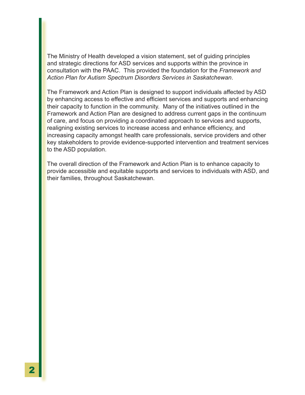The Ministry of Health developed a vision statement, set of guiding principles and strategic directions for ASD services and supports within the province in consultation with the PAAC. This provided the foundation for the *Framework and Action Plan for Autism Spectrum Disorders Services in Saskatchewan*.

The Framework and Action Plan is designed to support individuals affected by ASD by enhancing access to effective and efficient services and supports and enhancing their capacity to function in the community. Many of the initiatives outlined in the Framework and Action Plan are designed to address current gaps in the continuum of care, and focus on providing a coordinated approach to services and supports, realigning existing services to increase access and enhance efficiency, and increasing capacity amongst health care professionals, service providers and other key stakeholders to provide evidence-supported intervention and treatment services to the ASD population.

The overall direction of the Framework and Action Plan is to enhance capacity to provide accessible and equitable supports and services to individuals with ASD, and their families, throughout Saskatchewan.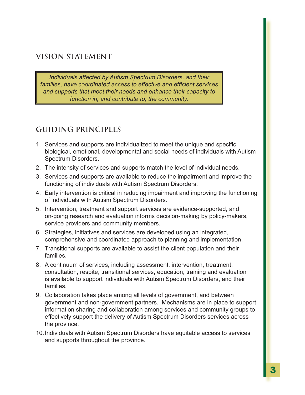## **VISION STATEMENT**

*Individuals affected by Autism Spectrum Disorders, and their families, have coordinated access to effective and efficient services and supports that meet their needs and enhance their capacity to function in, and contribute to, the community.*

## **GUIDING PRINCIPLES**

- Services and supports are individualized to meet the unique and specific 1. biological, emotional, developmental and social needs of individuals with Autism Spectrum Disorders.
- The intensity of services and supports match the level of individual needs. 2.
- Services and supports are available to reduce the impairment and improve the 3. functioning of individuals with Autism Spectrum Disorders.
- Early intervention is critical in reducing impairment and improving the functioning 4. of individuals with Autism Spectrum Disorders.
- 5. Intervention, treatment and support services are evidence-supported, and on-going research and evaluation informs decision-making by policy-makers, service providers and community members.
- Strategies, initiatives and services are developed using an integrated, 6. comprehensive and coordinated approach to planning and implementation.
- Transitional supports are available to assist the client population and their 7. families.
- A continuum of services, including assessment, intervention, treatment, 8. consultation, respite, transitional services, education, training and evaluation is available to support individuals with Autism Spectrum Disorders, and their families.
- Collaboration takes place among all levels of government, and between 9. government and non-government partners. Mechanisms are in place to support information sharing and collaboration among services and community groups to effectively support the delivery of Autism Spectrum Disorders services across the province.
- 10. Individuals with Autism Spectrum Disorders have equitable access to services and supports throughout the province.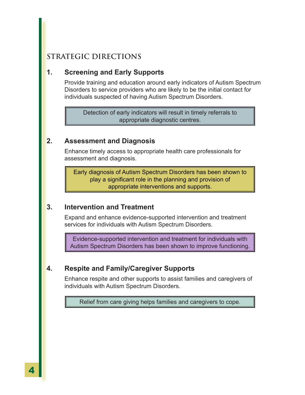## **STRATEGIC DIRECTIONS**

#### **1. Screening and Early Supports**

Provide training and education around early indicators of Autism Spectrum Disorders to service providers who are likely to be the initial contact for individuals suspected of having Autism Spectrum Disorders.

Detection of early indicators will result in timely referrals to appropriate diagnostic centres.

#### **2. Assessment and Diagnosis**

Enhance timely access to appropriate health care professionals for assessment and diagnosis.

Early diagnosis of Autism Spectrum Disorders has been shown to play a significant role in the planning and provision of appropriate interventions and supports.

#### **3. Intervention and Treatment**

Expand and enhance evidence-supported intervention and treatment services for individuals with Autism Spectrum Disorders.

Evidence-supported intervention and treatment for individuals with Autism Spectrum Disorders has been shown to improve functioning.

#### **4. Respite and Family/Caregiver Supports**

Enhance respite and other supports to assist families and caregivers of individuals with Autism Spectrum Disorders.

Relief from care giving helps families and caregivers to cope.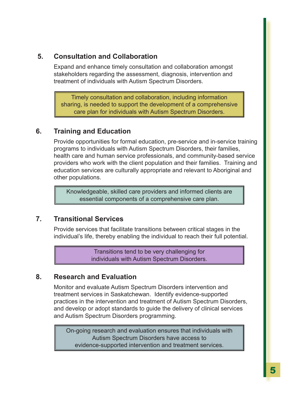#### **5. Consultation and Collaboration**

Expand and enhance timely consultation and collaboration amongst stakeholders regarding the assessment, diagnosis, intervention and treatment of individuals with Autism Spectrum Disorders.

Timely consultation and collaboration, including information sharing, is needed to support the development of a comprehensive care plan for individuals with Autism Spectrum Disorders.

## **6. Training and Education**

Provide opportunities for formal education, pre-service and in-service training programs to individuals with Autism Spectrum Disorders, their families, health care and human service professionals, and community-based service providers who work with the client population and their families. Training and education services are culturally appropriate and relevant to Aboriginal and other populations.

Knowledgeable, skilled care providers and informed clients are essential components of a comprehensive care plan.

## **7. Transitional Services**

Provide services that facilitate transitions between critical stages in the individual's life, thereby enabling the individual to reach their full potential.

> Transitions tend to be very challenging for individuals with Autism Spectrum Disorders.

#### **8. Research and Evaluation**

Monitor and evaluate Autism Spectrum Disorders intervention and treatment services in Saskatchewan. Identify evidence-supported practices in the intervention and treatment of Autism Spectrum Disorders, and develop or adopt standards to guide the delivery of clinical services and Autism Spectrum Disorders programming.

On-going research and evaluation ensures that individuals with Autism Spectrum Disorders have access to evidence-supported intervention and treatment services.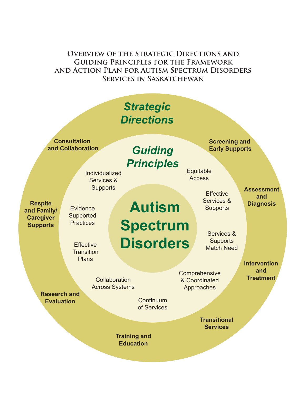**Overview of the Strategic Directions and Guiding Principles for the Framework and Action Plan for Autism Spectrum Disorders Services in Saskatchewan**

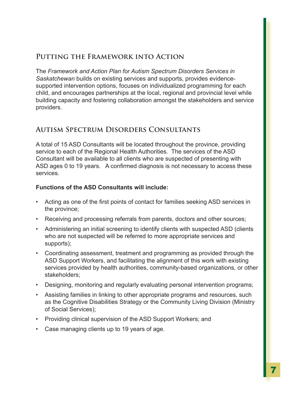#### **Putting the Framework into Action**

The *Framework and Action Plan for Autism Spectrum Disorders Services in Saskatchewan* builds on existing services and supports, provides evidencesupported intervention options, focuses on individualized programming for each child, and encourages partnerships at the local, regional and provincial level while building capacity and fostering collaboration amongst the stakeholders and service providers.

## **Autism Spectrum Disorders Consultants**

A total of 15 ASD Consultants will be located throughout the province, providing service to each of the Regional Health Authorities. The services of the ASD Consultant will be available to all clients who are suspected of presenting with ASD ages 0 to 19 years. A confirmed diagnosis is not necessary to access these services.

#### **Functions of the ASD Consultants will include:**

- Acting as one of the first points of contact for families seeking ASD services in the province;
- Receiving and processing referrals from parents, doctors and other sources; •
- Administering an initial screening to identify clients with suspected ASD (clients who are not suspected will be referred to more appropriate services and supports);
- Coordinating assessment, treatment and programming as provided through the ASD Support Workers, and facilitating the alignment of this work with existing services provided by health authorities, community-based organizations, or other stakeholders;
- Designing, monitoring and regularly evaluating personal intervention programs; •
- Assisting families in linking to other appropriate programs and resources, such as the Cognitive Disabilities Strategy or the Community Living Division (Ministry of Social Services);
- Providing clinical supervision of the ASD Support Workers; and
- Case managing clients up to 19 years of age. •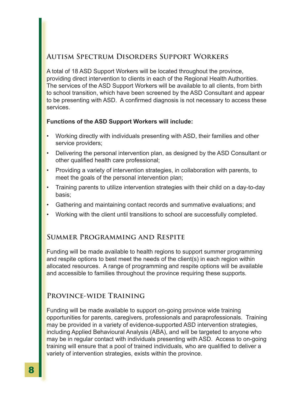#### **Autism Spectrum Disorders Support Workers**

A total of 18 ASD Support Workers will be located throughout the province, providing direct intervention to clients in each of the Regional Health Authorities. The services of the ASD Support Workers will be available to all clients, from birth to school transition, which have been screened by the ASD Consultant and appear to be presenting with ASD. A confirmed diagnosis is not necessary to access these services.

#### **Functions of the ASD Support Workers will include:**

- Working directly with individuals presenting with ASD, their families and other service providers; •
- Delivering the personal intervention plan, as designed by the ASD Consultant or other qualified health care professional; •
- Providing a variety of intervention strategies, in collaboration with parents, to meet the goals of the personal intervention plan; •
- Training parents to utilize intervention strategies with their child on a day-to-day basis; •
- Gathering and maintaining contact records and summative evaluations; and •
- Working with the client until transitions to school are successfully completed. •

## **Summer Programming and Respite**

Funding will be made available to health regions to support summer programming and respite options to best meet the needs of the client(s) in each region within allocated resources. A range of programming and respite options will be available and accessible to families throughout the province requiring these supports.

## **Province-wide Training**

Funding will be made available to support on-going province wide training opportunities for parents, caregivers, professionals and paraprofessionals. Training may be provided in a variety of evidence-supported ASD intervention strategies, including Applied Behavioural Analysis (ABA), and will be targeted to anyone who may be in regular contact with individuals presenting with ASD. Access to on-going training will ensure that a pool of trained individuals, who are qualified to deliver a variety of intervention strategies, exists within the province.